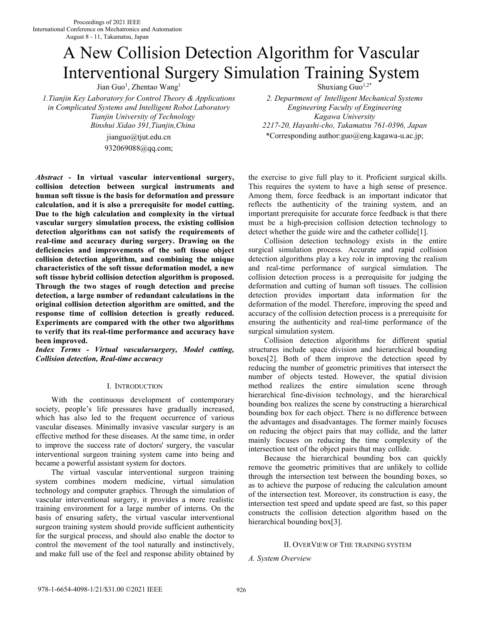# A New Collision Detection Algorithm for Vascular Interventional Surgery Simulation Training System

Jian Guo<sup>1</sup>, Zhentao Wang<sup>1</sup>

*1.Tianjin Key Laboratory for Control Theory & Applications in Complicated Systems and Intelligent Robot Laboratory Tianjin University of Technology Binshui Xidao 391,Tianjin,China* 

> jianguo@tjut.edu.cn 932069088@qq.com;

*Abstract* **- In virtual vascular interventional surgery, collision detection between surgical instruments and human soft tissue is the basis for deformation and pressure calculation, and it is also a prerequisite for model cutting. Due to the high calculation and complexity in the virtual vascular surgery simulation process, the existing collision detection algorithms can not satisfy the requirements of real-time and accuracy during surgery. Drawing on the deficiencies and improvements of the soft tissue object collision detection algorithm, and combining the unique characteristics of the soft tissue deformation model, a new soft tissue hybrid collision detection algorithm is proposed. Through the two stages of rough detection and precise detection, a large number of redundant calculations in the original collision detection algorithm are omitted, and the response time of collision detection is greatly reduced. Experiments are compared with the other two algorithms to verify that its real-time performance and accuracy have been improved.** 

*Index Terms - Virtual vascularsurgery, Model cutting, Collision detection, Real-time accuracy* 

# I. INTRODUCTION

With the continuous development of contemporary society, people's life pressures have gradually increased, which has also led to the frequent occurrence of various vascular diseases. Minimally invasive vascular surgery is an effective method for these diseases. At the same time, in order to improve the success rate of doctors' surgery, the vascular interventional surgeon training system came into being and became a powerful assistant system for doctors.

The virtual vascular interventional surgeon training system combines modern medicine, virtual simulation technology and computer graphics. Through the simulation of vascular interventional surgery, it provides a more realistic training environment for a large number of interns. On the basis of ensuring safety, the virtual vascular interventional surgeon training system should provide sufficient authenticity for the surgical process, and should also enable the doctor to control the movement of the tool naturally and instinctively, and make full use of the feel and response ability obtained by

Shuxiang Guo<sup>1,2\*</sup>

*2. Department of Intelligent Mechanical Systems Engineering Faculty of Engineering Kagawa University 2217-20, Hayashi-cho, Takamatsu 761-0396, Japan* \*Corresponding author:guo@eng.kagawa-u.ac.jp;

the exercise to give full play to it. Proficient surgical skills. This requires the system to have a high sense of presence. Among them, force feedback is an important indicator that reflects the authenticity of the training system, and an important prerequisite for accurate force feedback is that there must be a high-precision collision detection technology to detect whether the guide wire and the catheter collide[1].

Collision detection technology exists in the entire surgical simulation process. Accurate and rapid collision detection algorithms play a key role in improving the realism and real-time performance of surgical simulation. The collision detection process is a prerequisite for judging the deformation and cutting of human soft tissues. The collision detection provides important data information for the deformation of the model. Therefore, improving the speed and accuracy of the collision detection process is a prerequisite for ensuring the authenticity and real-time performance of the surgical simulation system.

Collision detection algorithms for different spatial structures include space division and hierarchical bounding boxes[2]. Both of them improve the detection speed by reducing the number of geometric primitives that intersect the number of objects tested. However, the spatial division method realizes the entire simulation scene through hierarchical fine-division technology, and the hierarchical bounding box realizes the scene by constructing a hierarchical bounding box for each object. There is no difference between the advantages and disadvantages. The former mainly focuses on reducing the object pairs that may collide, and the latter mainly focuses on reducing the time complexity of the intersection test of the object pairs that may collide.

Because the hierarchical bounding box can quickly remove the geometric primitives that are unlikely to collide through the intersection test between the bounding boxes, so as to achieve the purpose of reducing the calculation amount of the intersection test. Moreover, its construction is easy, the intersection test speed and update speed are fast, so this paper constructs the collision detection algorithm based on the hierarchical bounding box[3].

# II. OVERVIEW OF THE TRAINING SYSTEM

*A. System Overview*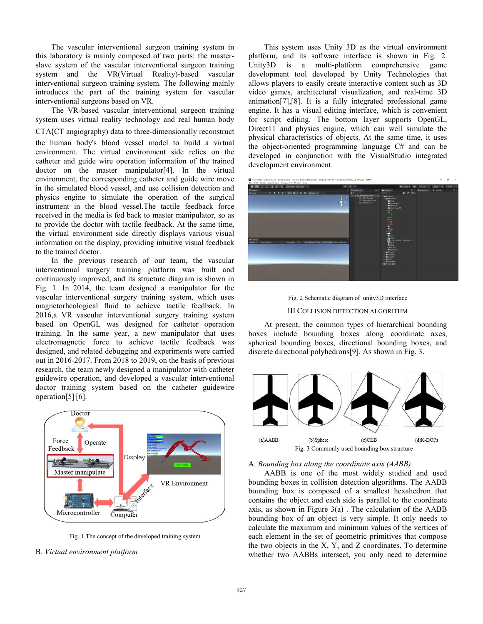The vascular interventional surgeon training system in this laboratory is mainly composed of two parts: the masterslave system of the vascular interventional surgeon training system and the VR(Virtual Reality)-based vascular interventional surgeon training system. The following mainly introduces the part of the training system for vascular interventional surgeons based on VR.

The VR-based vascular interventional surgeon training system uses virtual reality technology and real human body

CTA(CT angiography) data to three-dimensionally reconstruct the human body's blood vessel model to build a virtual environment. The virtual environment side relies on the catheter and guide wire operation information of the trained doctor on the master manipulator[4]. In the virtual environment, the corresponding catheter and guide wire move in the simulated blood vessel, and use collision detection and physics engine to simulate the operation of the surgical instrument in the blood vessel.The tactile feedback force received in the media is fed back to master manipulator, so as to provide the doctor with tactile feedback. At the same time, the virtual environment side directly displays various visual information on the display, providing intuitive visual feedback to the trained doctor.

In the previous research of our team, the vascular interventional surgery training platform was built and continuously improved, and its structure diagram is shown in Fig. 1. In 2014, the team designed a manipulator for the vascular interventional surgery training system, which uses magnetorheological fluid to achieve tactile feedback. In 2016,a VR vascular interventional surgery training system based on OpenGL was designed for catheter operation training. In the same year, a new manipulator that uses electromagnetic force to achieve tactile feedback was designed, and related debugging and experiments were carried out in 2016-2017. From 2018 to 2019, on the basis of previous research, the team newly designed a manipulator with catheter guidewire operation, and developed a vascular interventional doctor training system based on the catheter guidewire operation[5]<sup>,</sup>[6].



Fig. 1 The concept of the developed training system

# B. *Virtual environment platform*

This system uses Unity 3D as the virtual environment platform, and its software interface is shown in Fig. 2. Unity3D is a multi-platform comprehensive game development tool developed by Unity Technologies that allows players to easily create interactive content such as 3D video games, architectural visualization, and real-time 3D animation[7],[8]. It is a fully integrated professional game engine. It has a visual editing interface, which is convenient for script editing. The bottom layer supports OpenGL, Direct11 and physics engine, which can well simulate the physical characteristics of objects. At the same time, it uses the object-oriented programming language C# and can be developed in conjunction with the VisualStudio integrated development environment.





At present, the common types of hierarchical bounding boxes include bounding boxes along coordinate axes, spherical bounding boxes, directional bounding boxes, and discrete directional polyhedrons[9]. As shown in Fig. 3.



## A. *Bounding box along the coordinate axis (AABB)*

AABB is one of the most widely studied and used bounding boxes in collision detection algorithms. The AABB bounding box is composed of a smallest hexahedron that contains the object and each side is parallel to the coordinate axis, as shown in Figure  $3(a)$ . The calculation of the AABB bounding box of an object is very simple. It only needs to calculate the maximum and minimum values of the vertices of each element in the set of geometric primitives that compose the two objects in the X, Y, and Z coordinates. To determine whether two AABBs intersect, you only need to determine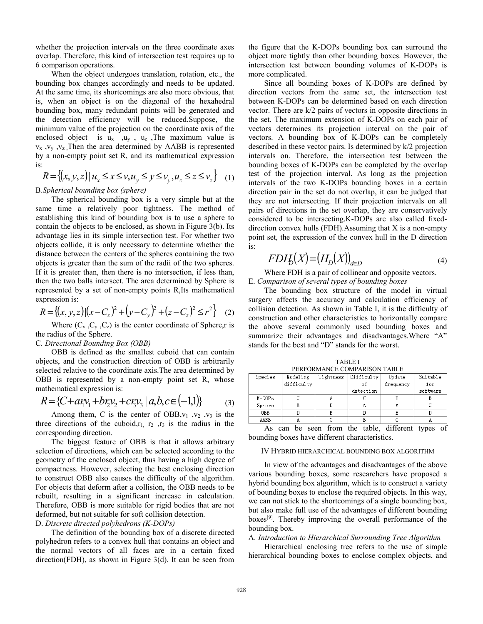whether the projection intervals on the three coordinate axes overlap. Therefore, this kind of intersection test requires up to 6 comparison operations.

When the object undergoes translation, rotation, etc., the bounding box changes accordingly and needs to be updated. At the same time, its shortcomings are also more obvious, that is, when an object is on the diagonal of the hexahedral bounding box, many redundant points will be generated and the detection efficiency will be reduced.Suppose, the minimum value of the projection on the coordinate axis of the enclosed object is  $u_x$  ,  $u_y$ ,  $u_z$ , The maximum value is  $v_x$ ,  $v_y$ ,  $v_z$ , Then the area determined by AABB is represented by a non-empty point set R, and its mathematical expression is:

$$
R = \{(x, y, z) | u_x \le x \le v, u_y \le y \le v_y, u_z \le z \le v_z \} \tag{1}
$$

# B.*Spherical bounding box (sphere)*

The spherical bounding box is a very simple but at the same time a relatively poor tightness. The method of establishing this kind of bounding box is to use a sphere to contain the objects to be enclosed, as shown in Figure 3(b). Its advantage lies in its simple intersection test. For whether two objects collide, it is only necessary to determine whether the distance between the centers of the spheres containing the two objects is greater than the sum of the radii of the two spheres. If it is greater than, then there is no intersection, if less than, then the two balls intersect. The area determined by Sphere is represented by a set of non-empty points R,Its mathematical expression is:

$$
R = \{(x, y, z) | (x - C_x)^2 + (y - C_y)^2 + (z - C_z)^2 \le r^2 \}
$$
 (2)

Where  $(C_x, C_y, C_z)$  is the center coordinate of Sphere, r is the radius of the Sphere.

# C. *Directional Bounding Box (OBB)*

OBB is defined as the smallest cuboid that can contain objects, and the construction direction of OBB is arbitrarily selected relative to the coordinate axis.The area determined by OBB is represented by a non-empty point set R, whose mathematical expression is:

$$
R = \{C + a\eta v_1 + b\eta v_2 + c\eta v_3 \mid a, b, c \in (-1, 1)\}\tag{3}
$$

Among them, C is the center of OBB, $v_1$ ,  $v_2$ ,  $v_3$  is the three directions of the cuboid,  $r_1$ ,  $r_2$ ,  $r_3$  is the radius in the corresponding direction.

The biggest feature of OBB is that it allows arbitrary selection of directions, which can be selected according to the geometry of the enclosed object, thus having a high degree of compactness. However, selecting the best enclosing direction to construct OBB also causes the difficulty of the algorithm. For objects that deform after a collision, the OBB needs to be rebuilt, resulting in a significant increase in calculation. Therefore, OBB is more suitable for rigid bodies that are not deformed, but not suitable for soft collision detection.

# D. *Discrete directed polyhedrons (K-DOPs)*

The definition of the bounding box of a discrete directed polyhedron refers to a convex hull that contains an object and the normal vectors of all faces are in a certain fixed direction(FDH), as shown in Figure 3(d). It can be seen from the figure that the K-DOPs bounding box can surround the object more tightly than other bounding boxes. However, the intersection test between bounding volumes of K-DOPs is more complicated.

Since all bounding boxes of K-DOPs are defined by direction vectors from the same set, the intersection test between K-DOPs can be determined based on each direction vector. There are k/2 pairs of vectors in opposite directions in the set. The maximum extension of K-DOPs on each pair of vectors determines its projection interval on the pair of vectors. A bounding box of K-DOPs can be completely described in these vector pairs. Is determined by k/2 projection intervals on. Therefore, the intersection test between the bounding boxes of K-DOPs can be completed by the overlap test of the projection interval. As long as the projection intervals of the two K-DOPs bounding boxes in a certain direction pair in the set do not overlap, it can be judged that they are not intersecting. If their projection intervals on all pairs of directions in the set overlap, they are conservatively considered to be intersecting.K-DOPs are also called fixeddirection convex hulls (FDH).Assuming that X is a non-empty point set, the expression of the convex hull in the D direction is:

$$
FDH_D(X) = (H_D(X))_{d \in D} \tag{4}
$$

Where FDH is a pair of collinear and opposite vectors. E. *Comparison of several types of bounding boxes*

The bounding box structure of the model in virtual surgery affects the accuracy and calculation efficiency of collision detection. As shown in Table Ⅰ, it is the difficulty of construction and other characteristics to horizontally compare the above several commonly used bounding boxes and summarize their advantages and disadvantages.Where "A" stands for the best and "D" stands for the worst.

**PERFORMANCE COMPARISON TABLE**<br>Modeling Tightness Difficulty Update Species Tightness Update Suitable difficulty of frequency for detection software  $K-DOPs$  $\overline{c}$ A  $\overline{c}$ D B  $\overline{\mathbb{B}}$  $\overline{\text{D}}$ Sphere A A  $\mathcal C$  $\overline{D}$  $\overline{\mathbb{D}}$ OBB  $\, {\bf B}$  $\mathbb{D}$ B  $\overline{c}$  $\overline{B}$ AABB A  $\mathbb C$ A

TABLE Ⅰ

As can be seen from the table, different types of bounding boxes have different characteristics.

# IV HYBRID HIERARCHICAL BOUNDING BOX ALGORITHM

In view of the advantages and disadvantages of the above various bounding boxes, some researchers have proposed a hybrid bounding box algorithm, which is to construct a variety of bounding boxes to enclose the required objects. In this way, we can not stick to the shortcomings of a single bounding box, but also make full use of the advantages of different bounding boxes[9]. Thereby improving the overall performance of the bounding box.

### A. *Introduction to Hierarchical Surrounding Tree Algorithm*

Hierarchical enclosing tree refers to the use of simple hierarchical bounding boxes to enclose complex objects, and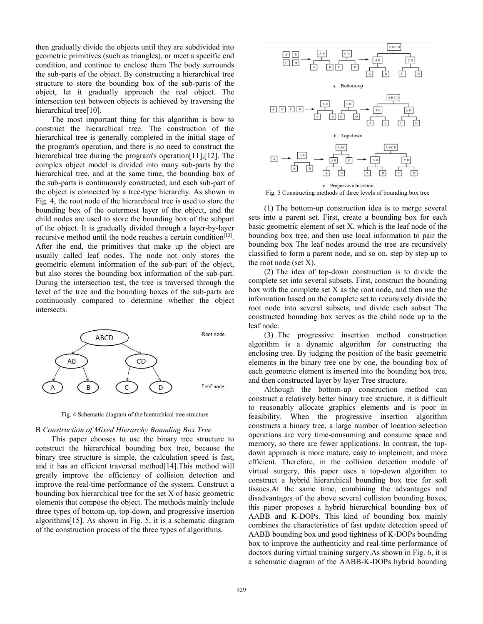then gradually divide the objects until they are subdivided into geometric primitives (such as triangles), or meet a specific end condition, and continue to enclose them The body surrounds the sub-parts of the object. By constructing a hierarchical tree structure to store the bounding box of the sub-parts of the object, let it gradually approach the real object. The intersection test between objects is achieved by traversing the hierarchical tree<sup>[10]</sup>.

The most important thing for this algorithm is how to construct the hierarchical tree. The construction of the hierarchical tree is generally completed in the initial stage of the program's operation, and there is no need to construct the hierarchical tree during the program's operation[11],[12]. The complex object model is divided into many sub-parts by the hierarchical tree, and at the same time, the bounding box of the sub-parts is continuously constructed, and each sub-part of the object is connected by a tree-type hierarchy. As shown in Fig. 4, the root node of the hierarchical tree is used to store the bounding box of the outermost layer of the object, and the child nodes are used to store the bounding box of the subpart of the object. It is gradually divided through a layer-by-layer recursive method until the node reaches a certain condition<sup>[13]</sup>. After the end, the primitives that make up the object are usually called leaf nodes. The node not only stores the geometric element information of the sub-part of the object, but also stores the bounding box information of the sub-part. During the intersection test, the tree is traversed through the level of the tree and the bounding boxes of the sub-parts are continuously compared to determine whether the object intersects.



Fig. 4 Schematic diagram of the hierarchical tree structure

#### B *Construction of Mixed Hierarchy Bounding Box Tree*

This paper chooses to use the binary tree structure to construct the hierarchical bounding box tree, because the binary tree structure is simple, the calculation speed is fast, and it has an efficient traversal method[14].This method will greatly improve the efficiency of collision detection and improve the real-time performance of the system. Construct a bounding box hierarchical tree for the set X of basic geometric elements that compose the object. The methods mainly include three types of bottom-up, top-down, and progressive insertion algorithms[15]. As shown in Fig. 5, it is a schematic diagram of the construction process of the three types of algorithms.



Fig. 5 Constructing methods of three levels of bounding box tree

(1) The bottom-up construction idea is to merge several sets into a parent set. First, create a bounding box for each basic geometric element of set X, which is the leaf node of the bounding box tree, and then use local information to pair the bounding box The leaf nodes around the tree are recursively classified to form a parent node, and so on, step by step up to the root node (set X).

(2) The idea of top-down construction is to divide the complete set into several subsets. First, construct the bounding box with the complete set X as the root node, and then use the information based on the complete set to recursively divide the root node into several subsets, and divide each subset The constructed bounding box serves as the child node up to the leaf node.

(3) The progressive insertion method construction algorithm is a dynamic algorithm for constructing the enclosing tree. By judging the position of the basic geometric elements in the binary tree one by one, the bounding box of each geometric element is inserted into the bounding box tree, and then constructed layer by layer Tree structure.

Although the bottom-up construction method can construct a relatively better binary tree structure, it is difficult to reasonably allocate graphics elements and is poor in feasibility. When the progressive insertion algorithm constructs a binary tree, a large number of location selection operations are very time-consuming and consume space and memory, so there are fewer applications. In contrast, the topdown approach is more mature, easy to implement, and more efficient. Therefore, in the collision detection module of virtual surgery, this paper uses a top-down algorithm to construct a hybrid hierarchical bounding box tree for soft tissues.At the same time, combining the advantages and disadvantages of the above several collision bounding boxes, this paper proposes a hybrid hierarchical bounding box of AABB and K-DOPs. This kind of bounding box mainly combines the characteristics of fast update detection speed of AABB bounding box and good tightness of K-DOPs bounding box to improve the authenticity and real-time performance of doctors during virtual training surgery.As shown in Fig. 6, it is a schematic diagram of the AABB-K-DOPs hybrid bounding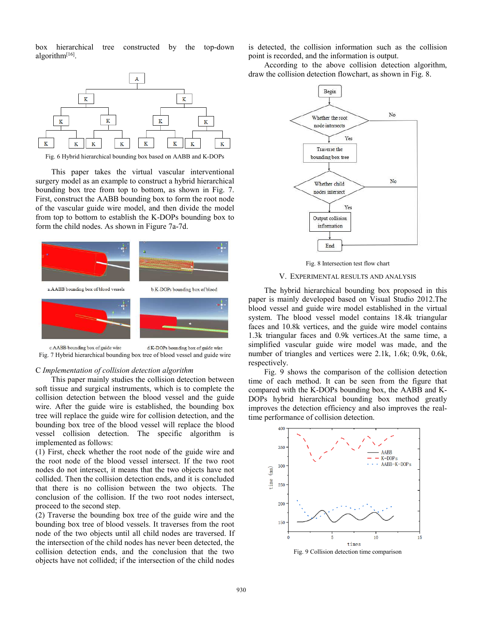box hierarchical tree constructed by the top-down algorithm<sup>[16]</sup>.



Fig. 6 Hybrid hierarchical bounding box based on AABB and K-DOPs

This paper takes the virtual vascular interventional surgery model as an example to construct a hybrid hierarchical bounding box tree from top to bottom, as shown in Fig. 7. First, construct the AABB bounding box to form the root node of the vascular guide wire model, and then divide the model from top to bottom to establish the K-DOPs bounding box to form the child nodes. As shown in Figure 7a-7d.



c.AABB bounding box of guide wire d.K-DOPs bounding box of guide wire Fig. 7 Hybrid hierarchical bounding box tree of blood vessel and guide wire

## C *Implementation of collision detection algorithm*

This paper mainly studies the collision detection between soft tissue and surgical instruments, which is to complete the collision detection between the blood vessel and the guide wire. After the guide wire is established, the bounding box tree will replace the guide wire for collision detection, and the bounding box tree of the blood vessel will replace the blood vessel collision detection. The specific algorithm is implemented as follows:

(1) First, check whether the root node of the guide wire and the root node of the blood vessel intersect. If the two root nodes do not intersect, it means that the two objects have not collided. Then the collision detection ends, and it is concluded that there is no collision between the two objects. The conclusion of the collision. If the two root nodes intersect, proceed to the second step.

(2) Traverse the bounding box tree of the guide wire and the bounding box tree of blood vessels. It traverses from the root node of the two objects until all child nodes are traversed. If the intersection of the child nodes has never been detected, the collision detection ends, and the conclusion that the two objects have not collided; if the intersection of the child nodes

is detected, the collision information such as the collision point is recorded, and the information is output.

According to the above collision detection algorithm, draw the collision detection flowchart, as shown in Fig. 8.



Fig. 8 Intersection test flow chart

## V. EXPERIMENTAL RESULTS AND ANALYSIS

The hybrid hierarchical bounding box proposed in this paper is mainly developed based on Visual Studio 2012.The blood vessel and guide wire model established in the virtual system. The blood vessel model contains 18.4k triangular faces and 10.8k vertices, and the guide wire model contains 1.3k triangular faces and 0.9k vertices.At the same time, a simplified vascular guide wire model was made, and the number of triangles and vertices were 2.1k, 1.6k; 0.9k, 0.6k, respectively.

Fig. 9 shows the comparison of the collision detection time of each method. It can be seen from the figure that compared with the K-DOPs bounding box, the AABB and K-DOPs hybrid hierarchical bounding box method greatly improves the detection efficiency and also improves the realtime performance of collision detection.



Fig. 9 Collision detection time comparison